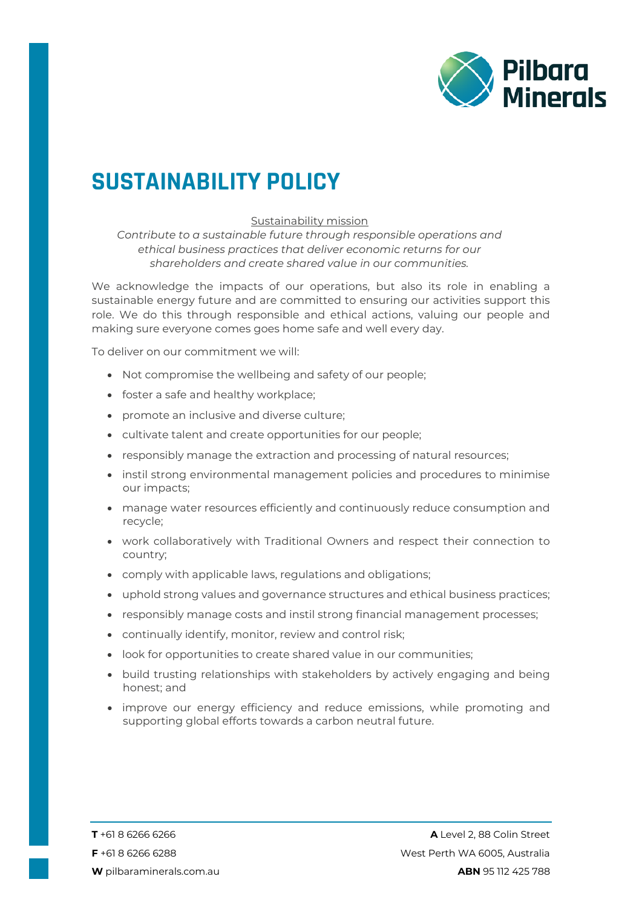

## **SUSTAINABILITY POLICY**

## Sustainability mission

*Contribute to a sustainable future through responsible operations and ethical business practices that deliver economic returns for our shareholders and create shared value in our communities.*

We acknowledge the impacts of our operations, but also its role in enabling a sustainable energy future and are committed to ensuring our activities support this role. We do this through responsible and ethical actions, valuing our people and making sure everyone comes goes home safe and well every day.

To deliver on our commitment we will:

- Not compromise the wellbeing and safety of our people;
- foster a safe and healthy workplace;
- promote an inclusive and diverse culture;
- cultivate talent and create opportunities for our people;
- responsibly manage the extraction and processing of natural resources;
- instil strong environmental management policies and procedures to minimise our impacts;
- manage water resources efficiently and continuously reduce consumption and recycle;
- work collaboratively with Traditional Owners and respect their connection to country;
- comply with applicable laws, regulations and obligations;
- uphold strong values and governance structures and ethical business practices;
- responsibly manage costs and instil strong financial management processes;
- continually identify, monitor, review and control risk;
- look for opportunities to create shared value in our communities;
- build trusting relationships with stakeholders by actively engaging and being honest; and
- improve our energy efficiency and reduce emissions, while promoting and supporting global efforts towards a carbon neutral future.